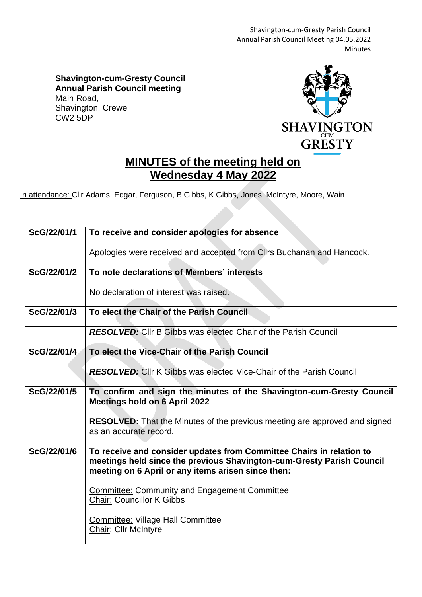Shavington-cum-Gresty Parish Council Annual Parish Council Meeting 04.05.2022 Minutes

**Shavington-cum-Gresty Council Annual Parish Council meeting** Main Road, Shavington, Crewe CW2 5DP



## **MINUTES of the meeting held on Wednesday 4 May 2022**

In attendance: Cllr Adams, Edgar, Ferguson, B Gibbs, K Gibbs, Jones, McIntyre, Moore, Wain

| ScG/22/01/1 | To receive and consider apologies for absence                                                                                                                                                       |
|-------------|-----------------------------------------------------------------------------------------------------------------------------------------------------------------------------------------------------|
|             | Apologies were received and accepted from Cllrs Buchanan and Hancock.                                                                                                                               |
| ScG/22/01/2 | To note declarations of Members' interests                                                                                                                                                          |
|             | No declaration of interest was raised.                                                                                                                                                              |
| ScG/22/01/3 | To elect the Chair of the Parish Council                                                                                                                                                            |
|             | <b>RESOLVED:</b> Cllr B Gibbs was elected Chair of the Parish Council                                                                                                                               |
| ScG/22/01/4 | To elect the Vice-Chair of the Parish Council                                                                                                                                                       |
|             | <b>RESOLVED:</b> Cllr K Gibbs was elected Vice-Chair of the Parish Council                                                                                                                          |
| ScG/22/01/5 | To confirm and sign the minutes of the Shavington-cum-Gresty Council<br><b>Meetings hold on 6 April 2022</b>                                                                                        |
|             | <b>RESOLVED:</b> That the Minutes of the previous meeting are approved and signed<br>as an accurate record.                                                                                         |
| ScG/22/01/6 | To receive and consider updates from Committee Chairs in relation to<br>meetings held since the previous Shavington-cum-Gresty Parish Council<br>meeting on 6 April or any items arisen since then: |
|             | <b>Committee: Community and Engagement Committee</b><br><b>Chair: Councillor K Gibbs</b>                                                                                                            |
|             | <b>Committee: Village Hall Committee</b><br><b>Chair: Cllr McIntyre</b>                                                                                                                             |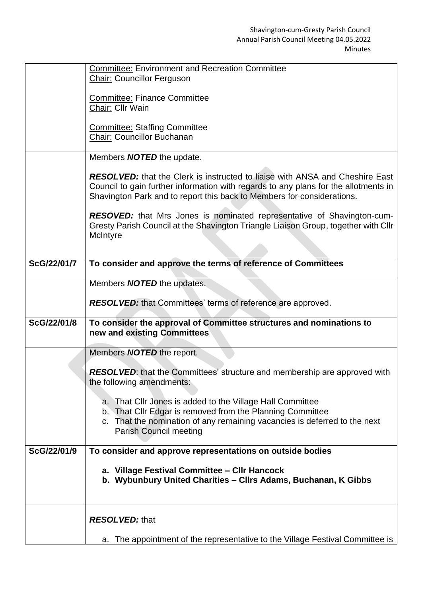|             | <b>Committee: Environment and Recreation Committee</b><br><b>Chair: Councillor Ferguson</b>                                                                                                                                                          |
|-------------|------------------------------------------------------------------------------------------------------------------------------------------------------------------------------------------------------------------------------------------------------|
|             | <b>Committee: Finance Committee</b><br>Chair: Cllr Wain                                                                                                                                                                                              |
|             | <b>Committee: Staffing Committee</b>                                                                                                                                                                                                                 |
|             | <b>Chair: Councillor Buchanan</b>                                                                                                                                                                                                                    |
|             | Members <b>NOTED</b> the update.                                                                                                                                                                                                                     |
|             | <b>RESOLVED:</b> that the Clerk is instructed to liaise with ANSA and Cheshire East<br>Council to gain further information with regards to any plans for the allotments in<br>Shavington Park and to report this back to Members for considerations. |
|             | <b>RESOVED:</b> that Mrs Jones is nominated representative of Shavington-cum-<br>Gresty Parish Council at the Shavington Triangle Liaison Group, together with Cllr<br>McIntyre                                                                      |
| ScG/22/01/7 | To consider and approve the terms of reference of Committees                                                                                                                                                                                         |
|             | Members <b>NOTED</b> the updates.                                                                                                                                                                                                                    |
|             | <b>RESOLVED:</b> that Committees' terms of reference are approved.                                                                                                                                                                                   |
| ScG/22/01/8 | To consider the approval of Committee structures and nominations to<br>new and existing Committees                                                                                                                                                   |
|             | Members <b>NOTED</b> the report.                                                                                                                                                                                                                     |
|             | RESOLVED: that the Committees' structure and membership are approved with<br>the following amendments:                                                                                                                                               |
|             | a. That Cllr Jones is added to the Village Hall Committee<br>b. That Cllr Edgar is removed from the Planning Committee<br>c. That the nomination of any remaining vacancies is deferred to the next<br><b>Parish Council meeting</b>                 |
| ScG/22/01/9 | To consider and approve representations on outside bodies                                                                                                                                                                                            |
|             | a. Village Festival Committee - Cllr Hancock<br>b. Wybunbury United Charities - Cllrs Adams, Buchanan, K Gibbs                                                                                                                                       |
|             | <b>RESOLVED: that</b>                                                                                                                                                                                                                                |
|             | a. The appointment of the representative to the Village Festival Committee is                                                                                                                                                                        |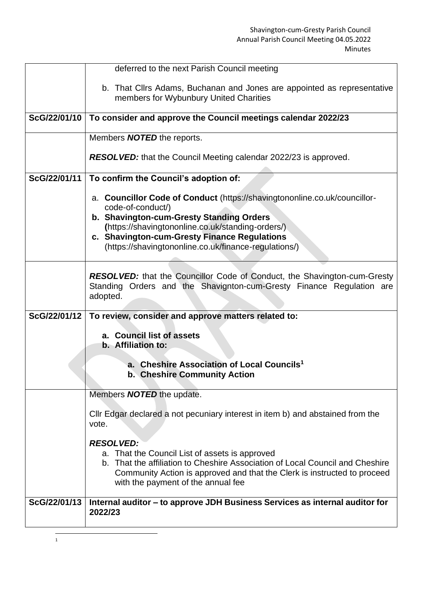|              | deferred to the next Parish Council meeting                                                                                                                                                                                                       |
|--------------|---------------------------------------------------------------------------------------------------------------------------------------------------------------------------------------------------------------------------------------------------|
|              | b. That Cllrs Adams, Buchanan and Jones are appointed as representative<br>members for Wybunbury United Charities                                                                                                                                 |
| ScG/22/01/10 | To consider and approve the Council meetings calendar 2022/23                                                                                                                                                                                     |
|              | Members <b>NOTED</b> the reports.                                                                                                                                                                                                                 |
|              | <b>RESOLVED:</b> that the Council Meeting calendar 2022/23 is approved.                                                                                                                                                                           |
| ScG/22/01/11 | To confirm the Council's adoption of:                                                                                                                                                                                                             |
|              | a. Councillor Code of Conduct (https://shavingtononline.co.uk/councillor-<br>code-of-conduct/)                                                                                                                                                    |
|              | b. Shavington-cum-Gresty Standing Orders<br>(https://shavingtononline.co.uk/standing-orders/)                                                                                                                                                     |
|              | c. Shavington-cum-Gresty Finance Regulations                                                                                                                                                                                                      |
|              | (https://shavingtononline.co.uk/finance-regulations/)                                                                                                                                                                                             |
|              | <b>RESOLVED:</b> that the Councillor Code of Conduct, the Shavington-cum-Gresty<br>Standing Orders and the Shavignton-cum-Gresty Finance Regulation are<br>adopted.                                                                               |
| ScG/22/01/12 | To review, consider and approve matters related to:                                                                                                                                                                                               |
|              | a. Council list of assets<br>b. Affiliation to:                                                                                                                                                                                                   |
|              | a. Cheshire Association of Local Councils <sup>1</sup><br><b>b. Cheshire Community Action</b>                                                                                                                                                     |
|              | Members <b>NOTED</b> the update.                                                                                                                                                                                                                  |
|              | CIIr Edgar declared a not pecuniary interest in item b) and abstained from the<br>vote.                                                                                                                                                           |
|              | <b>RESOLVED:</b>                                                                                                                                                                                                                                  |
|              | a. That the Council List of assets is approved<br>b. That the affiliation to Cheshire Association of Local Council and Cheshire<br>Community Action is approved and that the Clerk is instructed to proceed<br>with the payment of the annual fee |
| ScG/22/01/13 | Internal auditor - to approve JDH Business Services as internal auditor for<br>2022/23                                                                                                                                                            |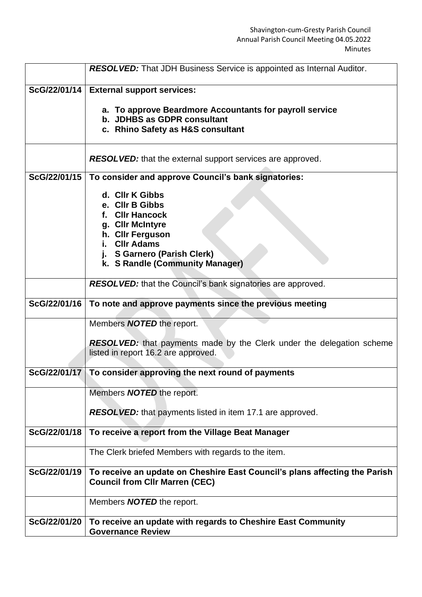|              | <b>RESOLVED:</b> That JDH Business Service is appointed as Internal Auditor.                                        |
|--------------|---------------------------------------------------------------------------------------------------------------------|
| ScG/22/01/14 | <b>External support services:</b>                                                                                   |
|              | a. To approve Beardmore Accountants for payroll service<br>b. JDHBS as GDPR consultant                              |
|              | c. Rhino Safety as H&S consultant                                                                                   |
|              |                                                                                                                     |
|              | <b>RESOLVED:</b> that the external support services are approved.                                                   |
| ScG/22/01/15 | To consider and approve Council's bank signatories:                                                                 |
|              | d. Cllr K Gibbs                                                                                                     |
|              | e. Cllr B Gibbs                                                                                                     |
|              | f. Cllr Hancock                                                                                                     |
|              | g. Cllr McIntyre<br>h. Cllr Ferguson                                                                                |
|              | <b>CIIr Adams</b><br>i.                                                                                             |
|              | j. S Garnero (Parish Clerk)                                                                                         |
|              | k. S Randle (Community Manager)                                                                                     |
|              | <b>RESOLVED:</b> that the Council's bank signatories are approved.                                                  |
| ScG/22/01/16 | To note and approve payments since the previous meeting                                                             |
|              | Members <b>NOTED</b> the report.                                                                                    |
|              | <b>RESOLVED:</b> that payments made by the Clerk under the delegation scheme                                        |
|              | listed in report 16.2 are approved.                                                                                 |
|              | ScG/22/01/17   To consider approving the next round of payments                                                     |
|              |                                                                                                                     |
|              | Members <b>NOTED</b> the report.                                                                                    |
|              | <b>RESOLVED:</b> that payments listed in item 17.1 are approved.                                                    |
|              |                                                                                                                     |
| ScG/22/01/18 | To receive a report from the Village Beat Manager                                                                   |
|              | The Clerk briefed Members with regards to the item.                                                                 |
| ScG/22/01/19 | To receive an update on Cheshire East Council's plans affecting the Parish<br><b>Council from Cllr Marren (CEC)</b> |
|              |                                                                                                                     |
|              | Members <b>NOTED</b> the report.                                                                                    |
| ScG/22/01/20 | To receive an update with regards to Cheshire East Community                                                        |
|              | <b>Governance Review</b>                                                                                            |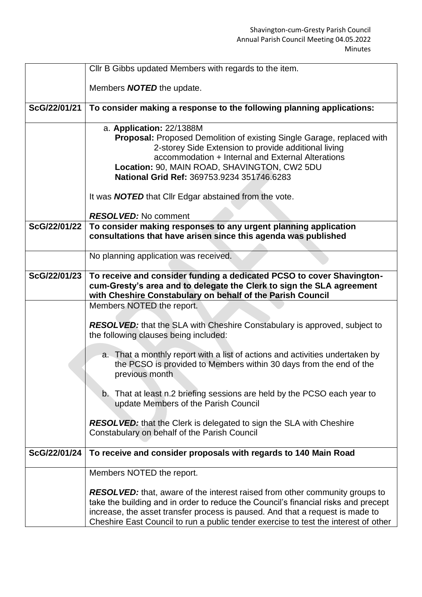|              | CIIr B Gibbs updated Members with regards to the item.                                                                    |
|--------------|---------------------------------------------------------------------------------------------------------------------------|
|              |                                                                                                                           |
|              | Members <b>NOTED</b> the update.                                                                                          |
| ScG/22/01/21 | To consider making a response to the following planning applications:                                                     |
|              | a. Application: 22/1388M                                                                                                  |
|              | <b>Proposal:</b> Proposed Demolition of existing Single Garage, replaced with                                             |
|              | 2-storey Side Extension to provide additional living                                                                      |
|              | accommodation + Internal and External Alterations                                                                         |
|              | Location: 90, MAIN ROAD, SHAVINGTON, CW2 5DU<br>National Grid Ref: 369753.9234 351746.6283                                |
|              |                                                                                                                           |
|              | It was <b>NOTED</b> that Clir Edgar abstained from the vote.                                                              |
|              | <b>RESOLVED:</b> No comment                                                                                               |
| ScG/22/01/22 | To consider making responses to any urgent planning application                                                           |
|              | consultations that have arisen since this agenda was published                                                            |
|              |                                                                                                                           |
|              | No planning application was received.                                                                                     |
| ScG/22/01/23 | To receive and consider funding a dedicated PCSO to cover Shavington-                                                     |
|              | cum-Gresty's area and to delegate the Clerk to sign the SLA agreement                                                     |
|              | with Cheshire Constabulary on behalf of the Parish Council                                                                |
|              | Members NOTED the report.                                                                                                 |
|              |                                                                                                                           |
|              | <b>RESOLVED:</b> that the SLA with Cheshire Constabulary is approved, subject to<br>the following clauses being included: |
|              |                                                                                                                           |
|              | a. That a monthly report with a list of actions and activities undertaken by                                              |
|              | the PCSO is provided to Members within 30 days from the end of the                                                        |
|              | previous month                                                                                                            |
|              |                                                                                                                           |
|              | b. That at least n.2 briefing sessions are held by the PCSO each year to                                                  |
|              | update Members of the Parish Council                                                                                      |
|              | <b>RESOLVED:</b> that the Clerk is delegated to sign the SLA with Cheshire                                                |
|              | Constabulary on behalf of the Parish Council                                                                              |
|              |                                                                                                                           |
| ScG/22/01/24 | To receive and consider proposals with regards to 140 Main Road                                                           |
|              | Members NOTED the report.                                                                                                 |
|              |                                                                                                                           |
|              | <b>RESOLVED:</b> that, aware of the interest raised from other community groups to                                        |
|              | take the building and in order to reduce the Council's financial risks and precept                                        |
|              | increase, the asset transfer process is paused. And that a request is made to                                             |
|              | Cheshire East Council to run a public tender exercise to test the interest of other                                       |